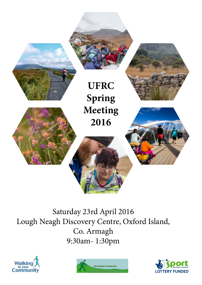

Saturday 23rd April 2016 Lough Neagh Discovery Centre, Oxford Island, Co. Armagh 9:30am- 1:30pm